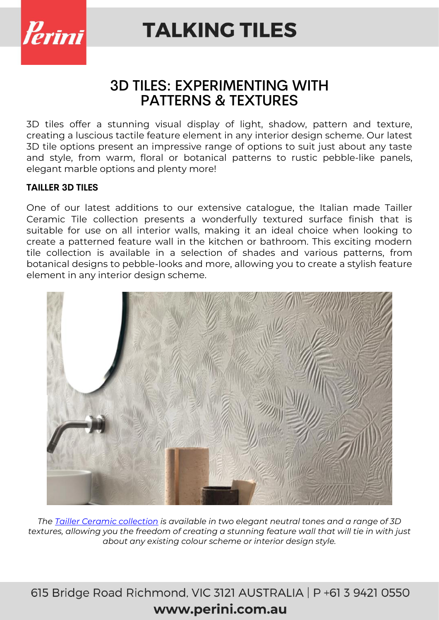

### 3D TILES: EXPERIMENTING WITH PATTERNS & TEXTURES

3D tiles offer a stunning visual display of light, shadow, pattern and texture, creating a luscious tactile feature element in any interior design scheme. Our latest 3D tile options present an impressive range of options to suit just about any taste and style, from warm, floral or botanical patterns to rustic pebble-like panels, elegant marble options and plenty more!

### **TAILLER 3D TILES**

One of our latest additions to our extensive catalogue, the Italian made Tailler Ceramic Tile collection presents a wonderfully textured surface finish that is suitable for use on all interior walls, making it an ideal choice when looking to create a patterned feature wall in the kitchen or bathroom. This exciting modern tile collection is available in a selection of shades and various patterns, from botanical designs to pebble-looks and more, allowing you to create a stylish feature element in any interior design scheme.



*The [Tailler Ceramic collection](https://www.perini.com.au/collection/tailler-ceramic-tiles/) is available in two elegant neutral tones and a range of 3D textures, allowing you the freedom of creating a stunning feature wall that will tie in with just about any existing colour scheme or interior design style.*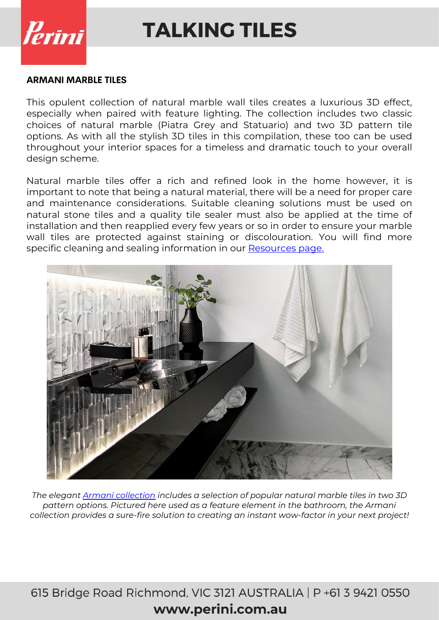

#### **ARMANI MARBLE TILES**

This opulent collection of natural marble wall tiles creates a luxurious 3D effect, especially when paired with feature lighting. The collection includes two classic choices of natural marble (Piatra Grey and Statuario) and two 3D pattern tile options. As with all the stylish 3D tiles in this compilation, these too can be used throughout your interior spaces for a timeless and dramatic touch to your overall design scheme.

Natural marble tiles offer a rich and refined look in the home however, it is important to note that being a natural material, there will be a need for proper care and maintenance considerations. Suitable cleaning solutions must be used on natural stone tiles and a quality tile sealer must also be applied at the time of installation and then reapplied every few years or so in order to ensure your marble wall tiles are protected against staining or discolouration. You will find more specific cleaning and sealing information in our [Resources page.](https://www.perini.com.au/resources/)



*The elegant [Armani collection](https://www.perini.com.au/collection/armani/) includes a selection of popular natural marble tiles in two 3D pattern options. Pictured here used as a feature element in the bathroom, the Armani collection provides a sure-fire solution to creating an instant wow-factor in your next project!*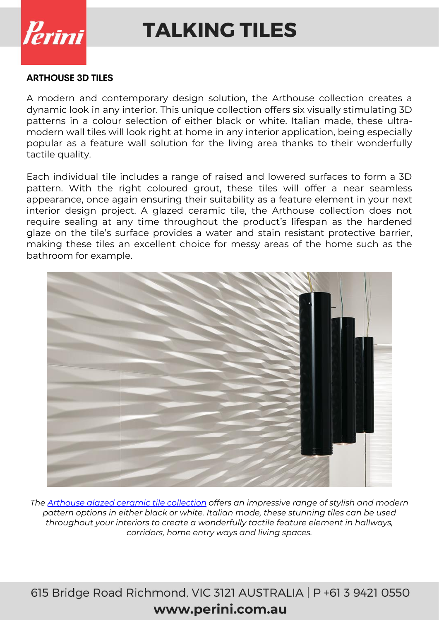

#### **ARTHOUSE 3D TILES**

A modern and contemporary design solution, the Arthouse collection creates a dynamic look in any interior. This unique collection offers six visually stimulating 3D patterns in a colour selection of either black or white. Italian made, these ultramodern wall tiles will look right at home in any interior application, being especially popular as a feature wall solution for the living area thanks to their wonderfully tactile quality.

Each individual tile includes a range of raised and lowered surfaces to form a 3D pattern. With the right coloured grout, these tiles will offer a near seamless appearance, once again ensuring their suitability as a feature element in your next interior design project. A glazed ceramic tile, the Arthouse collection does not require sealing at any time throughout the product's lifespan as the hardened glaze on the tile's surface provides a water and stain resistant protective barrier, making these tiles an excellent choice for messy areas of the home such as the bathroom for example.



*The [Arthouse glazed ceramic tile collection](https://www.perini.com.au/collection/arthouse/) offers an impressive range of stylish and modern pattern options in either black or white. Italian made, these stunning tiles can be used throughout your interiors to create a wonderfully tactile feature element in hallways, corridors, home entry ways and living spaces.*